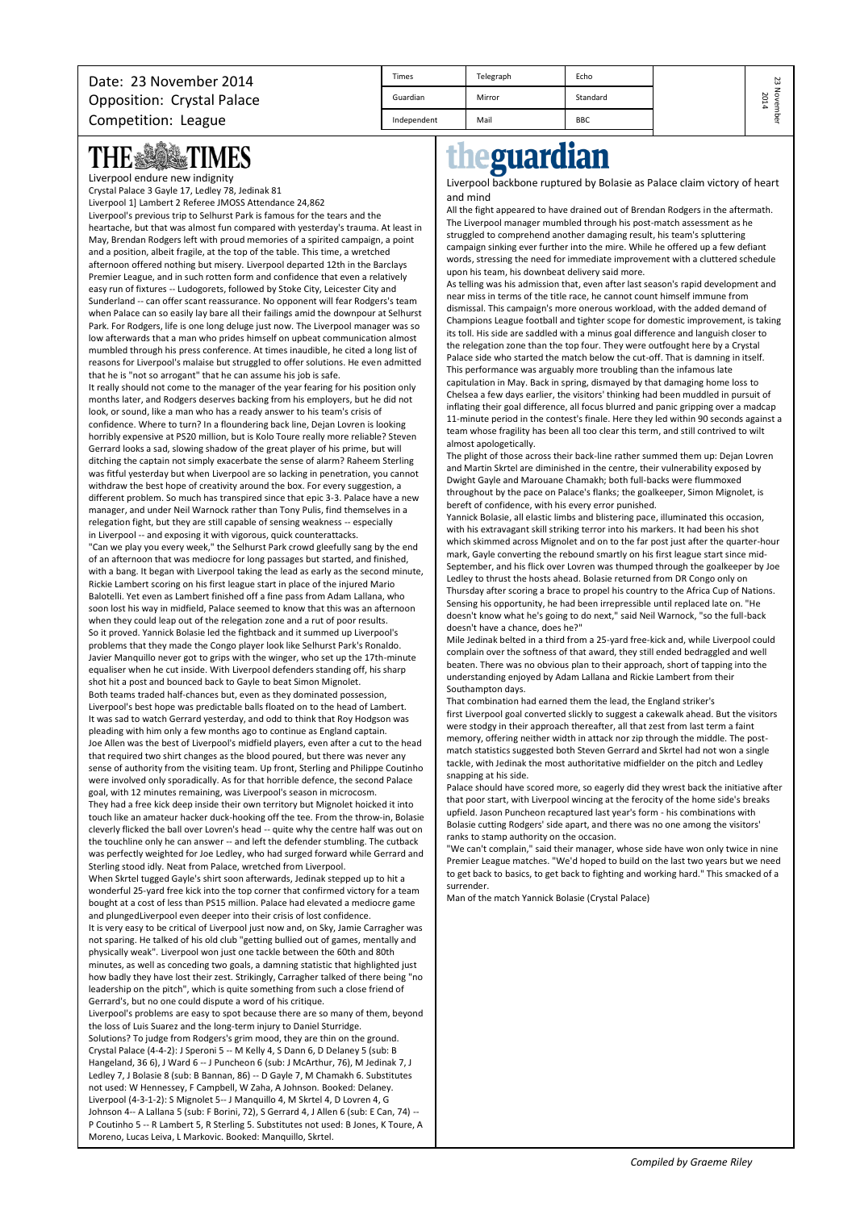| Date: 23 November 2014            | <b>Times</b> | Telegraph | Echo       | 23          |
|-----------------------------------|--------------|-----------|------------|-------------|
| <b>Opposition: Crystal Palace</b> | Guardian     | Mirror    | Standard   | N<br>∽<br>ပ |
| Competition: League               | Independent  | Mail      | <b>BBC</b> | ₾           |

# **THE SOLUTIMES**

Liverpool endure new indignity Crystal Palace 3 Gayle 17, Ledley 78, Jedinak 81

Liverpool 1] Lambert 2 Referee JMOSS Attendance 24,862

Liverpool's previous trip to Selhurst Park is famous for the tears and the heartache, but that was almost fun compared with yesterday's trauma. At least in May, Brendan Rodgers left with proud memories of a spirited campaign, a point and a position, albeit fragile, at the top of the table. This time, a wretched afternoon offered nothing but misery. Liverpool departed 12th in the Barclays Premier League, and in such rotten form and confidence that even a relatively easy run of fixtures -- Ludogorets, followed by Stoke City, Leicester City and Sunderland -- can offer scant reassurance. No opponent will fear Rodgers's team when Palace can so easily lay bare all their failings amid the downpour at Selhurst Park. For Rodgers, life is one long deluge just now. The Liverpool manager was so low afterwards that a man who prides himself on upbeat communication almost mumbled through his press conference. At times inaudible, he cited a long list of reasons for Liverpool's malaise but struggled to offer solutions. He even admitted that he is "not so arrogant" that he can assume his job is safe.

It really should not come to the manager of the year fearing for his position only months later, and Rodgers deserves backing from his employers, but he did not look, or sound, like a man who has a ready answer to his team's crisis of confidence. Where to turn? In a floundering back line, Dejan Lovren is looking horribly expensive at PS20 million, but is Kolo Toure really more reliable? Steven Gerrard looks a sad, slowing shadow of the great player of his prime, but will ditching the captain not simply exacerbate the sense of alarm? Raheem Sterling was fitful yesterday but when Liverpool are so lacking in penetration, you cannot withdraw the best hope of creativity around the box. For every suggestion, a different problem. So much has transpired since that epic 3-3. Palace have a new manager, and under Neil Warnock rather than Tony Pulis, find themselves in a relegation fight, but they are still capable of sensing weakness -- especially

in Liverpool -- and exposing it with vigorous, quick counterattacks. "Can we play you every week," the Selhurst Park crowd gleefully sang by the end of an afternoon that was mediocre for long passages but started, and finished, with a bang. It began with Liverpool taking the lead as early as the second minute, Rickie Lambert scoring on his first league start in place of the injured Mario Balotelli. Yet even as Lambert finished off a fine pass from Adam Lallana, who soon lost his way in midfield, Palace seemed to know that this was an afternoon when they could leap out of the relegation zone and a rut of poor results. So it proved. Yannick Bolasie led the fightback and it summed up Liverpool's problems that they made the Congo player look like Selhurst Park's Ronaldo. Javier Manquillo never got to grips with the winger, who set up the 17th-minute equaliser when he cut inside. With Liverpool defenders standing off, his sharp shot hit a post and bounced back to Gayle to beat Simon Mignolet.

Both teams traded half-chances but, even as they dominated possession, Liverpool's best hope was predictable balls floated on to the head of Lambert. It was sad to watch Gerrard yesterday, and odd to think that Roy Hodgson was pleading with him only a few months ago to continue as England captain. Joe Allen was the best of Liverpool's midfield players, even after a cut to the head that required two shirt changes as the blood poured, but there was never any sense of authority from the visiting team. Up front, Sterling and Philippe Coutinho were involved only sporadically. As for that horrible defence, the second Palace goal, with 12 minutes remaining, was Liverpool's season in microcosm. They had a free kick deep inside their own territory but Mignolet hoicked it into

touch like an amateur hacker duck-hooking off the tee. From the throw-in, Bolasie cleverly flicked the ball over Lovren's head -- quite why the centre half was out on the touchline only he can answer -- and left the defender stumbling. The cutback was perfectly weighted for Joe Ledley, who had surged forward while Gerrard and Sterling stood idly. Neat from Palace, wretched from Liverpool.

When Skrtel tugged Gayle's shirt soon afterwards, Jedinak stepped up to hit a wonderful 25-yard free kick into the top corner that confirmed victory for a team bought at a cost of less than PS15 million. Palace had elevated a mediocre game and plungedLiverpool even deeper into their crisis of lost confidence. It is very easy to be critical of Liverpool just now and, on Sky, Jamie Carragher was

not sparing. He talked of his old club "getting bullied out of games, mentally and physically weak". Liverpool won just one tackle between the 60th and 80th minutes, as well as conceding two goals, a damning statistic that highlighted just how badly they have lost their zest. Strikingly, Carragher talked of there being "no leadership on the pitch", which is quite something from such a close friend of Gerrard's, but no one could dispute a word of his critique.

Liverpool's problems are easy to spot because there are so many of them, beyond the loss of Luis Suarez and the long-term injury to Daniel Sturridge. Solutions? To judge from Rodgers's grim mood, they are thin on the ground. Crystal Palace (4-4-2): J Speroni 5 -- M Kelly 4, S Dann 6, D Delaney 5 (sub: B Hangeland, 36 6), J Ward 6 -- J Puncheon 6 (sub: J McArthur, 76), M Jedinak 7, J Ledley 7, J Bolasie 8 (sub: B Bannan, 86) -- D Gayle 7, M Chamakh 6. Substitutes not used: W Hennessey, F Campbell, W Zaha, A Johnson. Booked: Delaney. Liverpool (4-3-1-2): S Mignolet 5-- J Manquillo 4, M Skrtel 4, D Lovren 4, G Johnson 4-- A Lallana 5 (sub: F Borini, 72), S Gerrard 4, J Allen 6 (sub: E Can, 74) -- P Coutinho 5 -- R Lambert 5, R Sterling 5. Substitutes not used: B Jones, K Toure, A Moreno, Lucas Leiva, L Markovic. Booked: Manquillo, Skrtel.

# eguardian

Liverpool backbone ruptured by Bolasie as Palace claim victory of heart and mind

All the fight appeared to have drained out of Brendan Rodgers in the aftermath. The Liverpool manager mumbled through his post-match assessment as he struggled to comprehend another damaging result, his team's spluttering campaign sinking ever further into the mire. While he offered up a few defiant words, stressing the need for immediate improvement with a cluttered schedule upon his team, his downbeat delivery said more.

As telling was his admission that, even after last season's rapid development and near miss in terms of the title race, he cannot count himself immune from dismissal. This campaign's more onerous workload, with the added demand of Champions League football and tighter scope for domestic improvement, is taking its toll. His side are saddled with a minus goal difference and languish closer to the relegation zone than the top four. They were outfought here by a Crystal Palace side who started the match below the cut-off. That is damning in itself. This performance was arguably more troubling than the infamous late capitulation in May. Back in spring, dismayed by that damaging home loss to Chelsea a few days earlier, the visitors' thinking had been muddled in pursuit of inflating their goal difference, all focus blurred and panic gripping over a madcap 11-minute period in the contest's finale. Here they led within 90 seconds against a team whose fragility has been all too clear this term, and still contrived to wilt almost apologetically.

The plight of those across their back-line rather summed them up: Dejan Lovren and Martin Skrtel are diminished in the centre, their vulnerability exposed by Dwight Gayle and Marouane Chamakh; both full-backs were flummoxed throughout by the pace on Palace's flanks; the goalkeeper, Simon Mignolet, is bereft of confidence, with his every error punished.

Yannick Bolasie, all elastic limbs and blistering pace, illuminated this occasion, with his extravagant skill striking terror into his markers. It had been his shot which skimmed across Mignolet and on to the far post just after the quarter-hour mark, Gayle converting the rebound smartly on his first league start since mid-September, and his flick over Lovren was thumped through the goalkeeper by Joe Ledley to thrust the hosts ahead. Bolasie returned from DR Congo only on Thursday after scoring a brace to propel his country to the Africa Cup of Nations. Sensing his opportunity, he had been irrepressible until replaced late on. "He doesn't know what he's going to do next," said Neil Warnock, "so the full-back doesn't have a chance, does he?"

Mile Jedinak belted in a third from a 25-yard free-kick and, while Liverpool could complain over the softness of that award, they still ended bedraggled and well beaten. There was no obvious plan to their approach, short of tapping into the understanding enjoyed by Adam Lallana and Rickie Lambert from their Southampton days.

That combination had earned them the lead, the England striker's first Liverpool goal converted slickly to suggest a cakewalk ahead. But the visitors were stodgy in their approach thereafter, all that zest from last term a faint memory, offering neither width in attack nor zip through the middle. The postmatch statistics suggested both Steven Gerrard and Skrtel had not won a single tackle, with Jedinak the most authoritative midfielder on the pitch and Ledley snapping at his side.

Palace should have scored more, so eagerly did they wrest back the initiative after that poor start, with Liverpool wincing at the ferocity of the home side's breaks upfield. Jason Puncheon recaptured last year's form - his combinations with Bolasie cutting Rodgers' side apart, and there was no one among the visitors' ranks to stamp authority on the occasion.

"We can't complain," said their manager, whose side have won only twice in nine Premier League matches. "We'd hoped to build on the last two years but we need to get back to basics, to get back to fighting and working hard." This smacked of a surrender.

Man of the match Yannick Bolasie (Crystal Palace)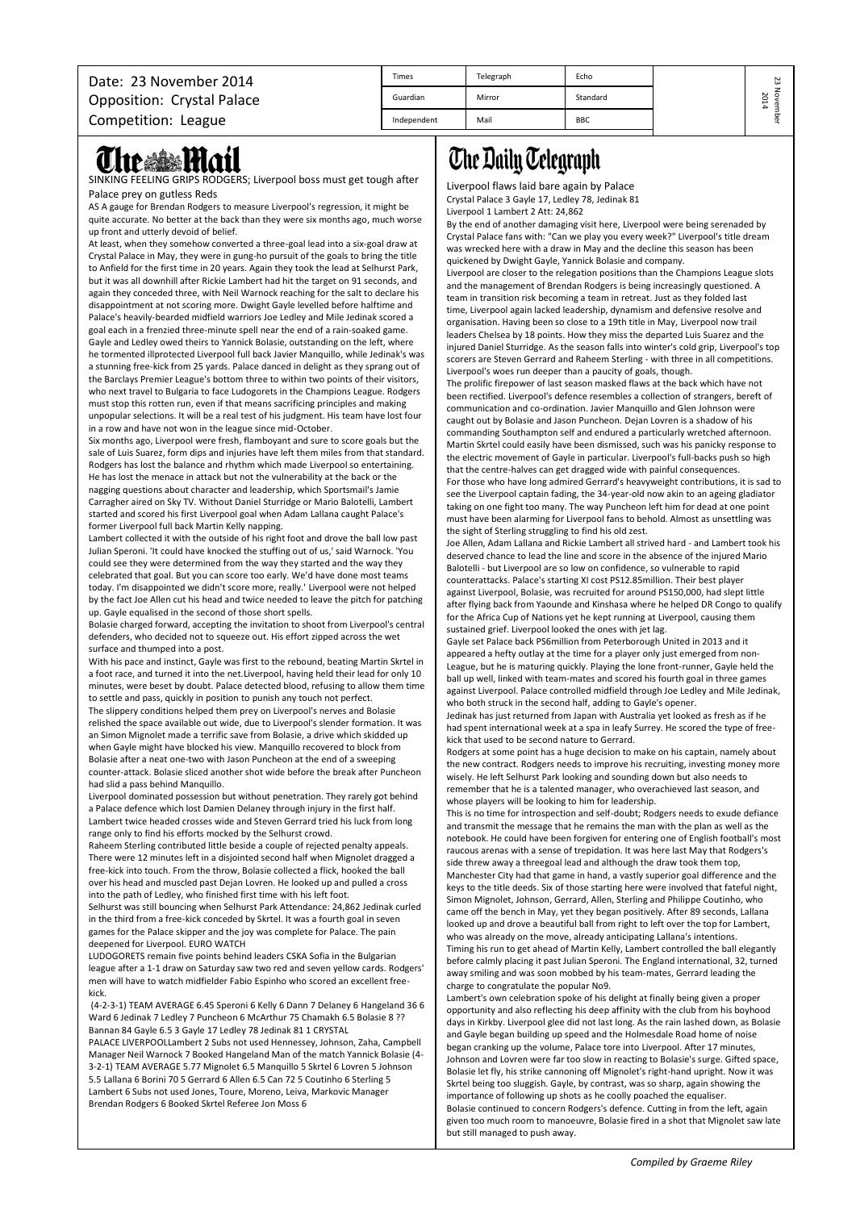| Date: 23 November 2014            | <b>Times</b> | Telegraph | Echo       | 23 |
|-----------------------------------|--------------|-----------|------------|----|
| <b>Opposition: Crystal Palace</b> | Guardian     | Mirror    | Standard   | 20 |
| Competition: League               | Independent  | Mail      | <b>BBC</b> | ወ  |

# The **Mail**

SINKING FEELING GRIPS RODGERS; Liverpool boss must get tough after Palace prey on gutless Reds

AS A gauge for Brendan Rodgers to measure Liverpool's regression, it might be quite accurate. No better at the back than they were six months ago, much worse up front and utterly devoid of belief.

At least, when they somehow converted a three-goal lead into a six-goal draw at Crystal Palace in May, they were in gung-ho pursuit of the goals to bring the title to Anfield for the first time in 20 years. Again they took the lead at Selhurst Park, but it was all downhill after Rickie Lambert had hit the target on 91 seconds, and again they conceded three, with Neil Warnock reaching for the salt to declare his disappointment at not scoring more. Dwight Gayle levelled before halftime and Palace's heavily-bearded midfield warriors Joe Ledley and Mile Jedinak scored a goal each in a frenzied three-minute spell near the end of a rain-soaked game.

Gayle and Ledley owed theirs to Yannick Bolasie, outstanding on the left, where he tormented illprotected Liverpool full back Javier Manquillo, while Jedinak's was a stunning free-kick from 25 yards. Palace danced in delight as they sprang out of the Barclays Premier League's bottom three to within two points of their visitors, who next travel to Bulgaria to face Ludogorets in the Champions League. Rodgers must stop this rotten run, even if that means sacrificing principles and making unpopular selections. It will be a real test of his judgment. His team have lost four in a row and have not won in the league since mid-October.

Six months ago, Liverpool were fresh, flamboyant and sure to score goals but the sale of Luis Suarez, form dips and injuries have left them miles from that standard. Rodgers has lost the balance and rhythm which made Liverpool so entertaining. He has lost the menace in attack but not the vulnerability at the back or the nagging questions about character and leadership, which Sportsmail's Jamie Carragher aired on Sky TV. Without Daniel Sturridge or Mario Balotelli, Lambert started and scored his first Liverpool goal when Adam Lallana caught Palace's former Liverpool full back Martin Kelly napping.

Lambert collected it with the outside of his right foot and drove the ball low past Julian Speroni. 'It could have knocked the stuffing out of us,' said Warnock. 'You could see they were determined from the way they started and the way they celebrated that goal. But you can score too early. We'd have done most teams today. I'm disappointed we didn't score more, really.' Liverpool were not helped by the fact Joe Allen cut his head and twice needed to leave the pitch for patching up. Gayle equalised in the second of those short spells.

Bolasie charged forward, accepting the invitation to shoot from Liverpool's central defenders, who decided not to squeeze out. His effort zipped across the wet surface and thumped into a post.

With his pace and instinct, Gayle was first to the rebound, beating Martin Skrtel in a foot race, and turned it into the net.Liverpool, having held their lead for only 10 minutes, were beset by doubt. Palace detected blood, refusing to allow them time to settle and pass, quickly in position to punish any touch not perfect.

The slippery conditions helped them prey on Liverpool's nerves and Bolasie relished the space available out wide, due to Liverpool's slender formation. It was an Simon Mignolet made a terrific save from Bolasie, a drive which skidded up when Gayle might have blocked his view. Manquillo recovered to block from Bolasie after a neat one-two with Jason Puncheon at the end of a sweeping counter-attack. Bolasie sliced another shot wide before the break after Puncheon had slid a pass behind Manquillo.

Liverpool dominated possession but without penetration. They rarely got behind a Palace defence which lost Damien Delaney through injury in the first half. Lambert twice headed crosses wide and Steven Gerrard tried his luck from long range only to find his efforts mocked by the Selhurst crowd.

Raheem Sterling contributed little beside a couple of rejected penalty appeals. There were 12 minutes left in a disjointed second half when Mignolet dragged a free-kick into touch. From the throw, Bolasie collected a flick, hooked the ball over his head and muscled past Dejan Lovren. He looked up and pulled a cross into the path of Ledley, who finished first time with his left foot.

Selhurst was still bouncing when Selhurst Park Attendance: 24,862 Jedinak curled in the third from a free-kick conceded by Skrtel. It was a fourth goal in seven games for the Palace skipper and the joy was complete for Palace. The pain deepened for Liverpool. EURO WATCH

LUDOGORETS remain five points behind leaders CSKA Sofia in the Bulgarian league after a 1-1 draw on Saturday saw two red and seven yellow cards. Rodgers' men will have to watch midfielder Fabio Espinho who scored an excellent freekick.

(4-2-3-1) TEAM AVERAGE 6.45 Speroni 6 Kelly 6 Dann 7 Delaney 6 Hangeland 36 6 Ward 6 Jedinak 7 Ledley 7 Puncheon 6 McArthur 75 Chamakh 6.5 Bolasie 8 ?? Bannan 84 Gayle 6.5 3 Gayle 17 Ledley 78 Jedinak 81 1 CRYSTAL PALACE LIVERPOOLLambert 2 Subs not used Hennessey, Johnson, Zaha, Campbell Manager Neil Warnock 7 Booked Hangeland Man of the match Yannick Bolasie (4- 3-2-1) TEAM AVERAGE 5.77 Mignolet 6.5 Manquillo 5 Skrtel 6 Lovren 5 Johnson 5.5 Lallana 6 Borini 70 5 Gerrard 6 Allen 6.5 Can 72 5 Coutinho 6 Sterling 5 Lambert 6 Subs not used Jones, Toure, Moreno, Leiva, Markovic Manager Brendan Rodgers 6 Booked Skrtel Referee Jon Moss 6

# **The Daily Telegraph**

Liverpool flaws laid bare again by Palace Crystal Palace 3 Gayle 17, Ledley 78, Jedinak 81

Liverpool 1 Lambert 2 Att: 24,862

By the end of another damaging visit here, Liverpool were being serenaded by Crystal Palace fans with: "Can we play you every week?" Liverpool's title dream was wrecked here with a draw in May and the decline this season has been quickened by Dwight Gayle, Yannick Bolasie and company.

Liverpool are closer to the relegation positions than the Champions League slots and the management of Brendan Rodgers is being increasingly questioned. A team in transition risk becoming a team in retreat. Just as they folded last time, Liverpool again lacked leadership, dynamism and defensive resolve and organisation. Having been so close to a 19th title in May, Liverpool now trail leaders Chelsea by 18 points. How they miss the departed Luis Suarez and the injured Daniel Sturridge. As the season falls into winter's cold grip, Liverpool's top scorers are Steven Gerrard and Raheem Sterling - with three in all competitions. Liverpool's woes run deeper than a paucity of goals, though.

The prolific firepower of last season masked flaws at the back which have not been rectified. Liverpool's defence resembles a collection of strangers, bereft of communication and co-ordination. Javier Manquillo and Glen Johnson were caught out by Bolasie and Jason Puncheon. Dejan Lovren is a shadow of his commanding Southampton self and endured a particularly wretched afternoon. Martin Skrtel could easily have been dismissed, such was his panicky response to the electric movement of Gayle in particular. Liverpool's full-backs push so high that the centre-halves can get dragged wide with painful consequences. For those who have long admired Gerrard's heavyweight contributions, it is sad to see the Liverpool captain fading, the 34-year-old now akin to an ageing gladiator taking on one fight too many. The way Puncheon left him for dead at one point must have been alarming for Liverpool fans to behold. Almost as unsettling was the sight of Sterling struggling to find his old zest.

Joe Allen, Adam Lallana and Rickie Lambert all strived hard - and Lambert took his deserved chance to lead the line and score in the absence of the injured Mario Balotelli - but Liverpool are so low on confidence, so vulnerable to rapid counterattacks. Palace's starting XI cost PS12.85million. Their best player against Liverpool, Bolasie, was recruited for around PS150,000, had slept little after flying back from Yaounde and Kinshasa where he helped DR Congo to qualify for the Africa Cup of Nations yet he kept running at Liverpool, causing them sustained grief. Liverpool looked the ones with jet lag.

Gayle set Palace back PS6million from Peterborough United in 2013 and it appeared a hefty outlay at the time for a player only just emerged from non-League, but he is maturing quickly. Playing the lone front-runner, Gayle held the ball up well, linked with team-mates and scored his fourth goal in three games against Liverpool. Palace controlled midfield through Joe Ledley and Mile Jedinak, who both struck in the second half, adding to Gayle's opener.

Jedinak has just returned from Japan with Australia yet looked as fresh as if he had spent international week at a spa in leafy Surrey. He scored the type of freekick that used to be second nature to Gerrard.

Rodgers at some point has a huge decision to make on his captain, namely about the new contract. Rodgers needs to improve his recruiting, investing money more wisely. He left Selhurst Park looking and sounding down but also needs to remember that he is a talented manager, who overachieved last season, and whose players will be looking to him for leadership.

This is no time for introspection and self-doubt; Rodgers needs to exude defiance and transmit the message that he remains the man with the plan as well as the notebook. He could have been forgiven for entering one of English football's most raucous arenas with a sense of trepidation. It was here last May that Rodgers's side threw away a threegoal lead and although the draw took them top, Manchester City had that game in hand, a vastly superior goal difference and the keys to the title deeds. Six of those starting here were involved that fateful night, Simon Mignolet, Johnson, Gerrard, Allen, Sterling and Philippe Coutinho, who came off the bench in May, yet they began positively. After 89 seconds, Lallana looked up and drove a beautiful ball from right to left over the top for Lambert, who was already on the move, already anticipating Lallana's intentions. Timing his run to get ahead of Martin Kelly, Lambert controlled the ball elegantly before calmly placing it past Julian Speroni. The England international, 32, turned away smiling and was soon mobbed by his team-mates, Gerrard leading the charge to congratulate the popular No9.

Lambert's own celebration spoke of his delight at finally being given a proper opportunity and also reflecting his deep affinity with the club from his boyhood days in Kirkby. Liverpool glee did not last long. As the rain lashed down, as Bolasie and Gayle began building up speed and the Holmesdale Road home of noise began cranking up the volume, Palace tore into Liverpool. After 17 minutes, Johnson and Lovren were far too slow in reacting to Bolasie's surge. Gifted space, Bolasie let fly, his strike cannoning off Mignolet's right-hand upright. Now it was Skrtel being too sluggish. Gayle, by contrast, was so sharp, again showing the importance of following up shots as he coolly poached the equaliser. Bolasie continued to concern Rodgers's defence. Cutting in from the left, again given too much room to manoeuvre, Bolasie fired in a shot that Mignolet saw late but still managed to push away.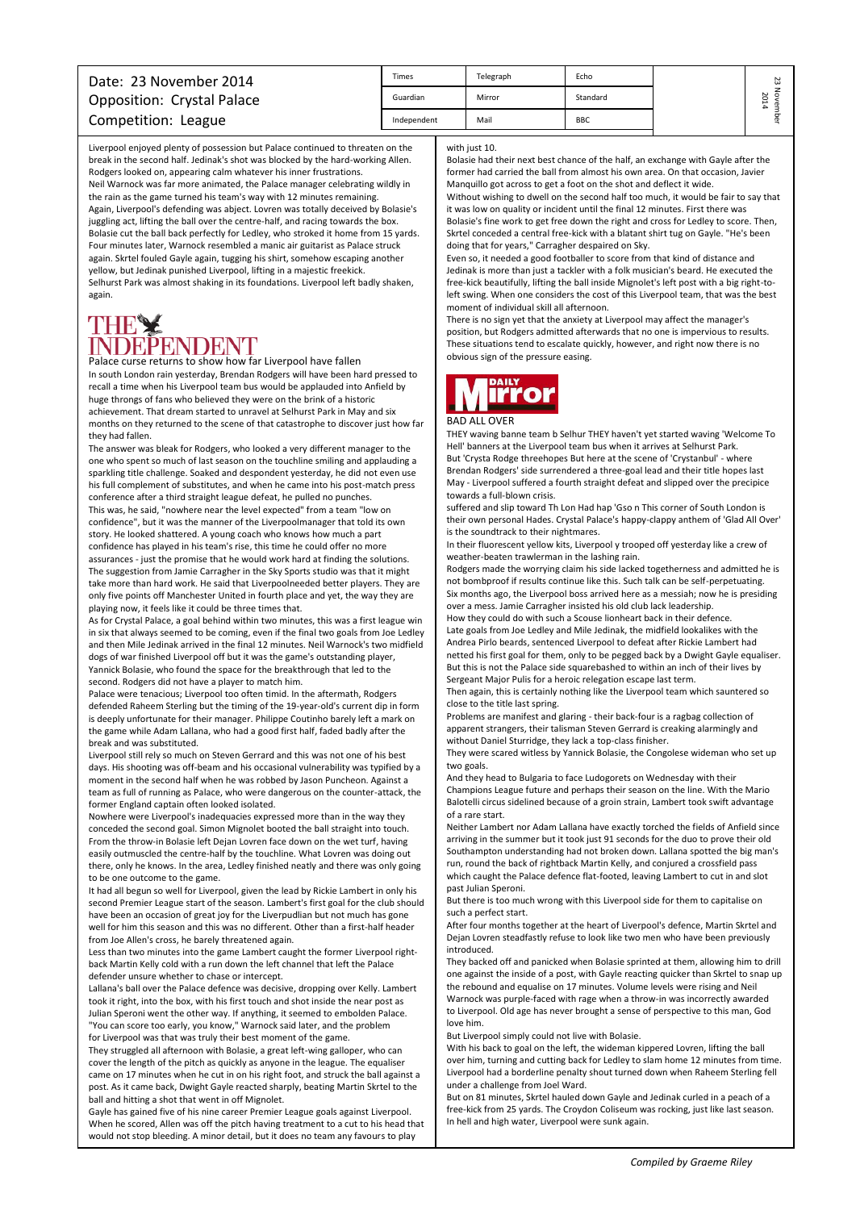| Date: 23 November 2014            | Times       | Telegraph | Echo       | 23 |
|-----------------------------------|-------------|-----------|------------|----|
| <b>Opposition: Crystal Palace</b> | Guardian    | Mirror    | Standard   | 20 |
| Competition: League               | Independent | Mail      | <b>BBC</b> | ₾  |

Liverpool enjoyed plenty of possession but Palace continued to threaten on the break in the second half. Jedinak's shot was blocked by the hard-working Allen. Rodgers looked on, appearing calm whatever his inner frustrations. Neil Warnock was far more animated, the Palace manager celebrating wildly in the rain as the game turned his team's way with 12 minutes remaining. Again, Liverpool's defending was abject. Lovren was totally deceived by Bolasie's juggling act, lifting the ball over the centre-half, and racing towards the box. Bolasie cut the ball back perfectly for Ledley, who stroked it home from 15 yards. Four minutes later, Warnock resembled a manic air guitarist as Palace struck again. Skrtel fouled Gayle again, tugging his shirt, somehow escaping another yellow, but Jedinak punished Liverpool, lifting in a majestic freekick. Selhurst Park was almost shaking in its foundations. Liverpool left badly shaken, again.

## THEY **INDEPENDENT**<br>Palace curse returns to show how far Liverpool have fallen

In south London rain yesterday, Brendan Rodgers will have been hard pressed to recall a time when his Liverpool team bus would be applauded into Anfield by huge throngs of fans who believed they were on the brink of a historic achievement. That dream started to unravel at Selhurst Park in May and six months on they returned to the scene of that catastrophe to discover just how far they had fallen.

The answer was bleak for Rodgers, who looked a very different manager to the one who spent so much of last season on the touchline smiling and applauding a sparkling title challenge. Soaked and despondent yesterday, he did not even use his full complement of substitutes, and when he came into his post-match press conference after a third straight league defeat, he pulled no punches.

This was, he said, "nowhere near the level expected" from a team "low on confidence", but it was the manner of the Liverpoolmanager that told its own story. He looked shattered. A young coach who knows how much a part confidence has played in his team's rise, this time he could offer no more assurances - just the promise that he would work hard at finding the solutions. The suggestion from Jamie Carragher in the Sky Sports studio was that it might take more than hard work. He said that Liverpoolneeded better players. They are only five points off Manchester United in fourth place and yet, the way they are playing now, it feels like it could be three times that.

As for Crystal Palace, a goal behind within two minutes, this was a first league win in six that always seemed to be coming, even if the final two goals from Joe Ledley and then Mile Jedinak arrived in the final 12 minutes. Neil Warnock's two midfield dogs of war finished Liverpool off but it was the game's outstanding player, Yannick Bolasie, who found the space for the breakthrough that led to the second. Rodgers did not have a player to match him.

Palace were tenacious; Liverpool too often timid. In the aftermath, Rodgers defended Raheem Sterling but the timing of the 19-year-old's current dip in form is deeply unfortunate for their manager. Philippe Coutinho barely left a mark on the game while Adam Lallana, who had a good first half, faded badly after the break and was substituted.

Liverpool still rely so much on Steven Gerrard and this was not one of his best days. His shooting was off-beam and his occasional vulnerability was typified by a moment in the second half when he was robbed by Jason Puncheon. Against a team as full of running as Palace, who were dangerous on the counter-attack, the former England captain often looked isolated.

Nowhere were Liverpool's inadequacies expressed more than in the way they conceded the second goal. Simon Mignolet booted the ball straight into touch. From the throw-in Bolasie left Dejan Lovren face down on the wet turf, having easily outmuscled the centre-half by the touchline. What Lovren was doing out there, only he knows. In the area, Ledley finished neatly and there was only going to be one outcome to the game.

It had all begun so well for Liverpool, given the lead by Rickie Lambert in only his second Premier League start of the season. Lambert's first goal for the club should have been an occasion of great joy for the Liverpudlian but not much has gone well for him this season and this was no different. Other than a first-half header from Joe Allen's cross, he barely threatened again.

Less than two minutes into the game Lambert caught the former Liverpool rightback Martin Kelly cold with a run down the left channel that left the Palace defender unsure whether to chase or intercept.

Lallana's ball over the Palace defence was decisive, dropping over Kelly. Lambert took it right, into the box, with his first touch and shot inside the near post as Julian Speroni went the other way. If anything, it seemed to embolden Palace. "You can score too early, you know," Warnock said later, and the problem

for Liverpool was that was truly their best moment of the game. They struggled all afternoon with Bolasie, a great left-wing galloper, who can

cover the length of the pitch as quickly as anyone in the league. The equaliser came on 17 minutes when he cut in on his right foot, and struck the ball against a post. As it came back, Dwight Gayle reacted sharply, beating Martin Skrtel to the ball and hitting a shot that went in off Mignolet.

Gayle has gained five of his nine career Premier League goals against Liverpool. When he scored, Allen was off the pitch having treatment to a cut to his head that would not stop bleeding. A minor detail, but it does no team any favours to play

#### with just 10.

Bolasie had their next best chance of the half, an exchange with Gayle after the former had carried the ball from almost his own area. On that occasion, Javier Manquillo got across to get a foot on the shot and deflect it wide.

Without wishing to dwell on the second half too much, it would be fair to say that it was low on quality or incident until the final 12 minutes. First there was Bolasie's fine work to get free down the right and cross for Ledley to score. Then, Skrtel conceded a central free-kick with a blatant shirt tug on Gayle. "He's been doing that for years," Carragher despaired on Sky.

Even so, it needed a good footballer to score from that kind of distance and Jedinak is more than just a tackler with a folk musician's beard. He executed the free-kick beautifully, lifting the ball inside Mignolet's left post with a big right-toleft swing. When one considers the cost of this Liverpool team, that was the best moment of individual skill all afternoon.

There is no sign yet that the anxiety at Liverpool may affect the manager's position, but Rodgers admitted afterwards that no one is impervious to results. These situations tend to escalate quickly, however, and right now there is no obvious sign of the pressure easing.



### BAD ALL OVER

THEY waving banne team b Selhur THEY haven't yet started waving 'Welcome To Hell' banners at the Liverpool team bus when it arrives at Selhurst Park. But 'Crysta Rodge threehopes But here at the scene of 'Crystanbul' - where Brendan Rodgers' side surrendered a three-goal lead and their title hopes last May - Liverpool suffered a fourth straight defeat and slipped over the precipice towards a full-blown crisis.

suffered and slip toward Th Lon Had hap 'Gso n This corner of South London is their own personal Hades. Crystal Palace's happy-clappy anthem of 'Glad All Over' is the soundtrack to their nightmares.

In their fluorescent yellow kits, Liverpool y trooped off yesterday like a crew of weather-beaten trawlerman in the lashing rain.

Rodgers made the worrying claim his side lacked togetherness and admitted he is not bombproof if results continue like this. Such talk can be self-perpetuating. Six months ago, the Liverpool boss arrived here as a messiah; now he is presiding over a mess. Jamie Carragher insisted his old club lack leadership.

How they could do with such a Scouse lionheart back in their defence. Late goals from Joe Ledley and Mile Jedinak, the midfield lookalikes with the Andrea Pirlo beards, sentenced Liverpool to defeat after Rickie Lambert had netted his first goal for them, only to be pegged back by a Dwight Gayle equaliser. But this is not the Palace side squarebashed to within an inch of their lives by Sergeant Major Pulis for a heroic relegation escape last term.

Then again, this is certainly nothing like the Liverpool team which sauntered so close to the title last spring.

Problems are manifest and glaring - their back-four is a ragbag collection of apparent strangers, their talisman Steven Gerrard is creaking alarmingly and without Daniel Sturridge, they lack a top-class finisher.

They were scared witless by Yannick Bolasie, the Congolese wideman who set up two goals.

And they head to Bulgaria to face Ludogorets on Wednesday with their Champions League future and perhaps their season on the line. With the Mario Balotelli circus sidelined because of a groin strain, Lambert took swift advantage of a rare start.

Neither Lambert nor Adam Lallana have exactly torched the fields of Anfield since arriving in the summer but it took just 91 seconds for the duo to prove their old Southampton understanding had not broken down. Lallana spotted the big man's run, round the back of rightback Martin Kelly, and conjured a crossfield pass which caught the Palace defence flat-footed, leaving Lambert to cut in and slot past Julian Speroni.

But there is too much wrong with this Liverpool side for them to capitalise on such a perfect start.

After four months together at the heart of Liverpool's defence, Martin Skrtel and Dejan Lovren steadfastly refuse to look like two men who have been previously introduced.

They backed off and panicked when Bolasie sprinted at them, allowing him to drill one against the inside of a post, with Gayle reacting quicker than Skrtel to snap up the rebound and equalise on 17 minutes. Volume levels were rising and Neil

Warnock was purple-faced with rage when a throw-in was incorrectly awarded to Liverpool. Old age has never brought a sense of perspective to this man, God love him.

But Liverpool simply could not live with Bolasie.

With his back to goal on the left, the wideman kippered Lovren, lifting the ball over him, turning and cutting back for Ledley to slam home 12 minutes from time. Liverpool had a borderline penalty shout turned down when Raheem Sterling fell under a challenge from Joel Ward.

But on 81 minutes, Skrtel hauled down Gayle and Jedinak curled in a peach of a free-kick from 25 yards. The Croydon Coliseum was rocking, just like last season. In hell and high water, Liverpool were sunk again.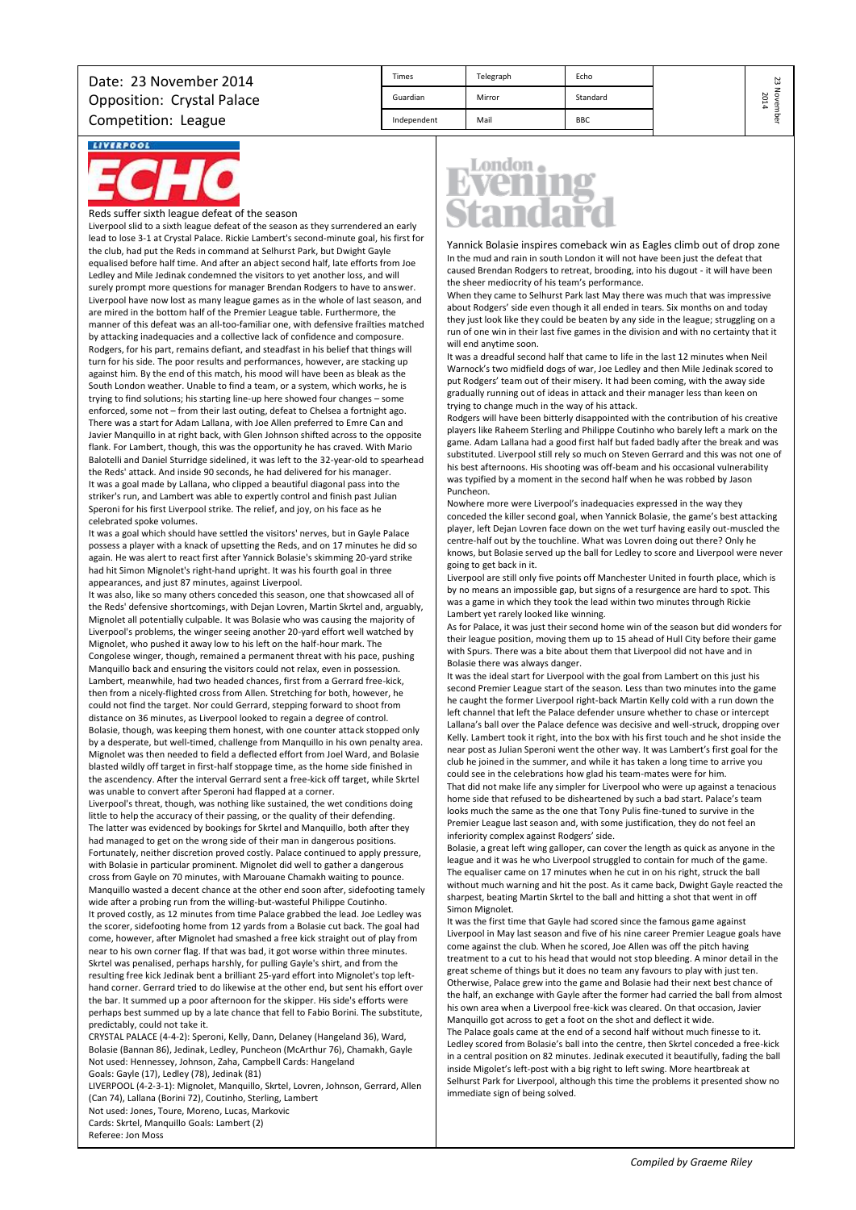Date: 23 November 2014 Opposition: Crystal Palace Competition: League

| <b>Times</b> | Telegraph | Echo       |  |
|--------------|-----------|------------|--|
| Guardian     | Mirror    | Standard   |  |
| Independent  | Mail      | <b>BBC</b> |  |



Reds suffer sixth league defeat of the season

[Liverpool](http://www.liverpoolecho.co.uk/all-about/liverpool-fc) slid to a sixth league defeat of the season as they surrendered an early lead to lose 3-1 at [Crystal Palace.](http://www.liverpoolecho.co.uk/all-about/crystal-palace-fc) Rickie Lambert's second-minute goal, his first for the club, had put the Reds in command at Selhurst Park, but Dwight Gayle equalised before half time. And after an abject second half, late efforts from Joe Ledley and Mile Jedinak condemned the visitors to yet another loss, and will surely prompt more questions for manager Brendan Rodgers to have to answer. Liverpool have now lost as many league games as in the whole of last season, and are mired in the bottom half of the Premier League table. Furthermore, the manner of this defeat was an all-too-familiar one, with defensive frailties matched by attacking inadequacies and a collective lack of confidence and composure. Rodgers, for his part, remains defiant, and steadfast in his belief that things will turn for his side. The poor results and performances, however, are stacking up against him. By the end of this match, his mood will have been as bleak as the South London weather. Unable to find a team, or a system, which works, he is trying to find solutions; his starting line-up here showed four changes – some enforced, some not – from their last outing, defeat to Chelsea a fortnight ago. There was a start for Adam Lallana, with Joe Allen preferred to Emre Can and Javier Manquillo in at right back, with Glen Johnson shifted across to the opposite flank. For Lambert, though, this was the opportunity he has craved. With Mario Balotelli and Daniel Sturridge sidelined, it was left to the 32-year-old to spearhead the Reds' attack. And inside 90 seconds, he had delivered for his manager. It was a goal made by Lallana, who clipped a beautiful diagonal pass into the striker's run, and Lambert was able to expertly control and finish past Julian Speroni for his first Liverpool strike. The relief, and joy, on his face as he celebrated spoke volumes.

It was a goal which should have settled the visitors' nerves, but in Gayle Palace possess a player with a knack of upsetting the Reds, and on 17 minutes he did so again. He was alert to react first after Yannick Bolasie's skimming 20-yard strike had hit Simon Mignolet's right-hand upright. It was his fourth goal in three appearances, and just 87 minutes, against Liverpool.

It was also, like so many others conceded this season, one that showcased all of the Reds' defensive shortcomings, with Dejan Lovren, Martin Skrtel and, arguably, Mignolet all potentially culpable. It was Bolasie who was causing the majority of Liverpool's problems, the winger seeing another 20-yard effort well watched by Mignolet, who pushed it away low to his left on the half-hour mark. The Congolese winger, though, remained a permanent threat with his pace, pushing Manquillo back and ensuring the visitors could not relax, even in possession. Lambert, meanwhile, had two headed chances, first from a Gerrard free-kick, then from a nicely-flighted cross from Allen. Stretching for both, however, he could not find the target. Nor could Gerrard, stepping forward to shoot from distance on 36 minutes, as Liverpool looked to regain a degree of control. Bolasie, though, was keeping them honest, with one counter attack stopped only by a desperate, but well-timed, challenge from Manquillo in his own penalty area. Mignolet was then needed to field a deflected effort from Joel Ward, and Bolasie blasted wildly off target in first-half stoppage time, as the home side finished in the ascendency. After the interval Gerrard sent a free-kick off target, while Skrtel was unable to convert after Speroni had flapped at a corner.

Liverpool's threat, though, was nothing like sustained, the wet conditions doing little to help the accuracy of their passing, or the quality of their defending. The latter was evidenced by bookings for Skrtel and Manquillo, both after they had managed to get on the wrong side of their man in dangerous positions. Fortunately, neither discretion proved costly. Palace continued to apply pressure, with Bolasie in particular prominent. Mignolet did well to gather a dangerous cross from Gayle on 70 minutes, with Marouane Chamakh waiting to pounce. Manquillo wasted a decent chance at the other end soon after, sidefooting tamely wide after a probing run from the willing-but-wasteful Philippe Coutinho. It proved costly, as 12 minutes from time Palace grabbed the lead. Joe Ledley was the scorer, sidefooting home from 12 yards from a Bolasie cut back. The goal had come, however, after Mignolet had smashed a free kick straight out of play from near to his own corner flag. If that was bad, it got worse within three minutes. Skrtel was penalised, perhaps harshly, for pulling Gayle's shirt, and from the resulting free kick Jedinak bent a brilliant 25-yard effort into Mignolet's top lefthand corner. Gerrard tried to do likewise at the other end, but sent his effort over the bar. It summed up a poor afternoon for the skipper. His side's efforts were perhaps best summed up by a late chance that fell to Fabio Borini. The substitute, predictably, could not take it.

CRYSTAL PALACE (4-4-2): Speroni, Kelly, Dann, Delaney (Hangeland 36), Ward, Bolasie (Bannan 86), Jedinak, Ledley, Puncheon (McArthur 76), Chamakh, Gayle Not used: Hennessey, Johnson, Zaha, Campbell Cards: Hangeland Goals: Gayle (17), Ledley (78), Jedinak (81)

LIVERPOOL (4-2-3-1): Mignolet, Manquillo, Skrtel, Lovren, Johnson, Gerrard, Allen (Can 74), Lallana (Borini 72), Coutinho, Sterling, Lambert

Not used: Jones, Toure, Moreno, Lucas, Markovic

Cards: Skrtel, Manquillo Goals: Lambert (2)

Referee: Jon Moss

# London<br>**Vening**

Yannick Bolasie inspires comeback win as Eagles climb out of drop zone In the mud and rain in south London it will not have been just the defeat that caused Brendan Rodgers to retreat, brooding, into his dugout - it will have been the sheer mediocrity of his team's performance.

When they came to Selhurst Park last May there was much that was impressive about Rodgers' side even though it all ended in tears. Six months on and today they just look like they could be beaten by any side in the league; struggling on a run of one win in their last five games in the division and with no certainty that it will end anytime soon.

It was a dreadful second half that came to life in the last 12 minutes when Neil Warnock's two midfield dogs of war, Joe Ledley and then Mile Jedinak scored to put Rodgers' team out of their misery. It had been coming, with the away side gradually running out of ideas in attack and their manager less than keen on trying to change much in the way of his attack.

Rodgers will have been bitterly disappointed with the contribution of his creative players like Raheem Sterling and Philippe Coutinho who barely left a mark on the game. Adam Lallana had a good first half but faded badly after the break and was substituted. Liverpool still rely so much on Steven Gerrard and this was not one of his best afternoons. His shooting was off-beam and his occasional vulnerability was typified by a moment in the second half when he was robbed by Jason Puncheon.

Nowhere more were Liverpool's inadequacies expressed in the way they conceded the killer second goal, when Yannick Bolasie, the game's best attacking player, left Dejan Lovren face down on the wet turf having easily out-muscled the centre-half out by the touchline. What was Lovren doing out there? Only he knows, but Bolasie served up the ball for Ledley to score and Liverpool were never going to get back in it.

Liverpool are still only five points off Manchester United in fourth place, which is by no means an impossible gap, but signs of a resurgence are hard to spot. This was a game in which they took the lead within two minutes through Rickie Lambert yet rarely looked like winning.

As for Palace, it was just their second home win of the season but did wonders for their league position, moving them up to 15 ahead of Hull City before their game with Spurs. There was a bite about them that Liverpool did not have and in Bolasie there was always danger.

It was the ideal start for Liverpool with the goal from Lambert on this just his second Premier League start of the season. Less than two minutes into the game he caught the former Liverpool right-back Martin Kelly cold with a run down the left channel that left the Palace defender unsure whether to chase or intercept Lallana's ball over the Palace defence was decisive and well-struck, dropping over Kelly. Lambert took it right, into the box with his first touch and he shot inside the near post as Julian Speroni went the other way. It was Lambert's first goal for the club he joined in the summer, and while it has taken a long time to arrive you could see in the celebrations how glad his team-mates were for him. That did not make life any simpler for Liverpool who were up against a tenacious home side that refused to be disheartened by such a bad start. Palace's team looks much the same as the one that Tony Pulis fine-tuned to survive in the Premier League last season and, with some justification, they do not feel an

inferiority complex against Rodgers' side. Bolasie, a great left wing galloper, can cover the length as quick as anyone in the league and it was he who Liverpool struggled to contain for much of the game. The equaliser came on 17 minutes when he cut in on his right, struck the ball without much warning and hit the post. As it came back, Dwight Gayle reacted the sharpest, beating Martin Skrtel to the ball and hitting a shot that went in off Simon Mignolet.

It was the first time that Gayle had scored since the famous game against Liverpool in May last season and five of his nine career Premier League goals have come against the club. When he scored, Joe Allen was off the pitch having treatment to a cut to his head that would not stop bleeding. A minor detail in the great scheme of things but it does no team any favours to play with just ten. Otherwise, Palace grew into the game and Bolasie had their next best chance of the half, an exchange with Gayle after the former had carried the ball from almost his own area when a Liverpool free-kick was cleared. On that occasion, Javier Manquillo got across to get a foot on the shot and deflect it wide. The Palace goals came at the end of a second half without much finesse to it. Ledley scored from Bolasie's ball into the centre, then Skrtel conceded a free-kick in a central position on 82 minutes. Jedinak executed it beautifully, fading the ball inside Migolet's left-post with a big right to left swing. More heartbreak at Selhurst Park for Liverpool, although this time the problems it presented show no immediate sign of being solved.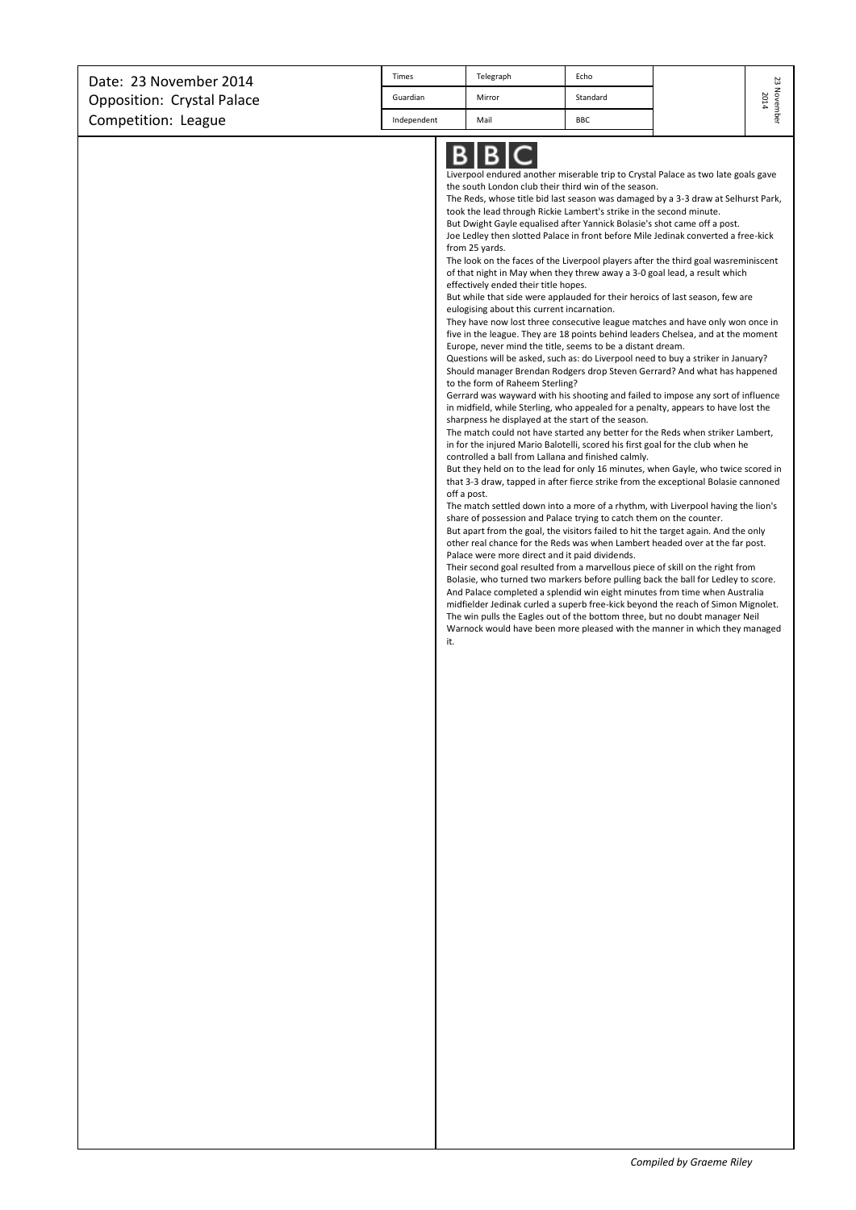| Date: 23 November 2014     | Times       | Telegraph                                                                                                                                                                                                                                                                                                                                                                                                                                                                                                                                                                                                                                                                                                                                                                                                                                                                                                                                                                                                                                                                                                                                                                                                                                                                                                                                                                                                                                                                                                                                                                                                                                                                                                                                                                                                                                                                                                                                                                                                                                                                                                                                                                                                                                                                                                                                                                                                                                                                                                                                                                                                                                                                                                                                                                                                            | Echo       |                     |
|----------------------------|-------------|----------------------------------------------------------------------------------------------------------------------------------------------------------------------------------------------------------------------------------------------------------------------------------------------------------------------------------------------------------------------------------------------------------------------------------------------------------------------------------------------------------------------------------------------------------------------------------------------------------------------------------------------------------------------------------------------------------------------------------------------------------------------------------------------------------------------------------------------------------------------------------------------------------------------------------------------------------------------------------------------------------------------------------------------------------------------------------------------------------------------------------------------------------------------------------------------------------------------------------------------------------------------------------------------------------------------------------------------------------------------------------------------------------------------------------------------------------------------------------------------------------------------------------------------------------------------------------------------------------------------------------------------------------------------------------------------------------------------------------------------------------------------------------------------------------------------------------------------------------------------------------------------------------------------------------------------------------------------------------------------------------------------------------------------------------------------------------------------------------------------------------------------------------------------------------------------------------------------------------------------------------------------------------------------------------------------------------------------------------------------------------------------------------------------------------------------------------------------------------------------------------------------------------------------------------------------------------------------------------------------------------------------------------------------------------------------------------------------------------------------------------------------------------------------------------------------|------------|---------------------|
| Opposition: Crystal Palace | Guardian    | Mirror                                                                                                                                                                                                                                                                                                                                                                                                                                                                                                                                                                                                                                                                                                                                                                                                                                                                                                                                                                                                                                                                                                                                                                                                                                                                                                                                                                                                                                                                                                                                                                                                                                                                                                                                                                                                                                                                                                                                                                                                                                                                                                                                                                                                                                                                                                                                                                                                                                                                                                                                                                                                                                                                                                                                                                                                               | Standard   | 23 November<br>2014 |
| Competition: League        | Independent | Mail                                                                                                                                                                                                                                                                                                                                                                                                                                                                                                                                                                                                                                                                                                                                                                                                                                                                                                                                                                                                                                                                                                                                                                                                                                                                                                                                                                                                                                                                                                                                                                                                                                                                                                                                                                                                                                                                                                                                                                                                                                                                                                                                                                                                                                                                                                                                                                                                                                                                                                                                                                                                                                                                                                                                                                                                                 | <b>BBC</b> |                     |
|                            | it.         | Liverpool endured another miserable trip to Crystal Palace as two late goals gave<br>the south London club their third win of the season.<br>The Reds, whose title bid last season was damaged by a 3-3 draw at Selhurst Park,<br>took the lead through Rickie Lambert's strike in the second minute.<br>But Dwight Gayle equalised after Yannick Bolasie's shot came off a post.<br>Joe Ledley then slotted Palace in front before Mile Jedinak converted a free-kick<br>from 25 yards.<br>The look on the faces of the Liverpool players after the third goal wasreminiscent<br>of that night in May when they threw away a 3-0 goal lead, a result which<br>effectively ended their title hopes.<br>But while that side were applauded for their heroics of last season, few are<br>eulogising about this current incarnation.<br>They have now lost three consecutive league matches and have only won once in<br>five in the league. They are 18 points behind leaders Chelsea, and at the moment<br>Europe, never mind the title, seems to be a distant dream.<br>Questions will be asked, such as: do Liverpool need to buy a striker in January?<br>Should manager Brendan Rodgers drop Steven Gerrard? And what has happened<br>to the form of Raheem Sterling?<br>Gerrard was wayward with his shooting and failed to impose any sort of influence<br>in midfield, while Sterling, who appealed for a penalty, appears to have lost the<br>sharpness he displayed at the start of the season.<br>The match could not have started any better for the Reds when striker Lambert,<br>in for the injured Mario Balotelli, scored his first goal for the club when he<br>controlled a ball from Lallana and finished calmly.<br>But they held on to the lead for only 16 minutes, when Gayle, who twice scored in<br>that 3-3 draw, tapped in after fierce strike from the exceptional Bolasie cannoned<br>off a post.<br>The match settled down into a more of a rhythm, with Liverpool having the lion's<br>share of possession and Palace trying to catch them on the counter.<br>But apart from the goal, the visitors failed to hit the target again. And the only<br>other real chance for the Reds was when Lambert headed over at the far post.<br>Palace were more direct and it paid dividends.<br>Their second goal resulted from a marvellous piece of skill on the right from<br>Bolasie, who turned two markers before pulling back the ball for Ledley to score.<br>And Palace completed a splendid win eight minutes from time when Australia<br>midfielder Jedinak curled a superb free-kick beyond the reach of Simon Mignolet.<br>The win pulls the Eagles out of the bottom three, but no doubt manager Neil<br>Warnock would have been more pleased with the manner in which they managed |            |                     |